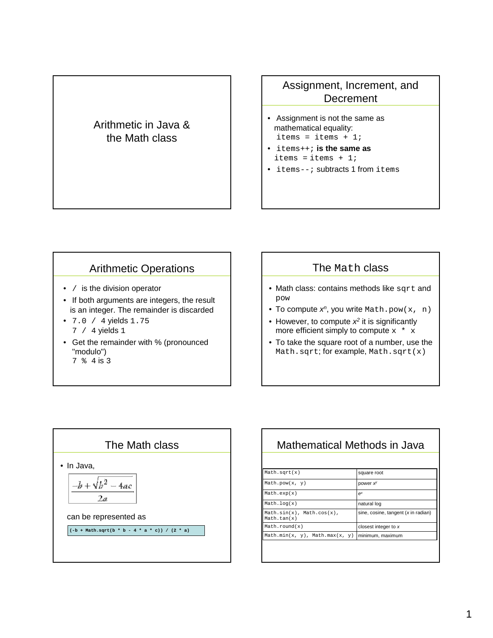## Arithmetic in Java & the Math class

## Assignment, Increment, and **Decrement**

- Assignment is not the same as mathematical equality: items = items +  $1$ ;
- items++; **is the same as** items = items  $+ 1i$
- items--; subtracts 1 from items

## Arithmetic Operations

- / is the division operator
- If both arguments are integers, the result is an integer. The remainder is discarded
- 7.0 / 4 yields 1.75 7 / 4 yields 1
- Get the remainder with % (pronounced "modulo") 7 % 4 is 3



- Math class: contains methods like sqrt and pow
- To compute  $x^n$ , you write Math.pow(x, n)
- However, to compute  $x^2$  it is significantly more efficient simply to compute  $x * x$
- To take the square root of a number, use the Math.sqrt; for example, Math.sqrt(x)